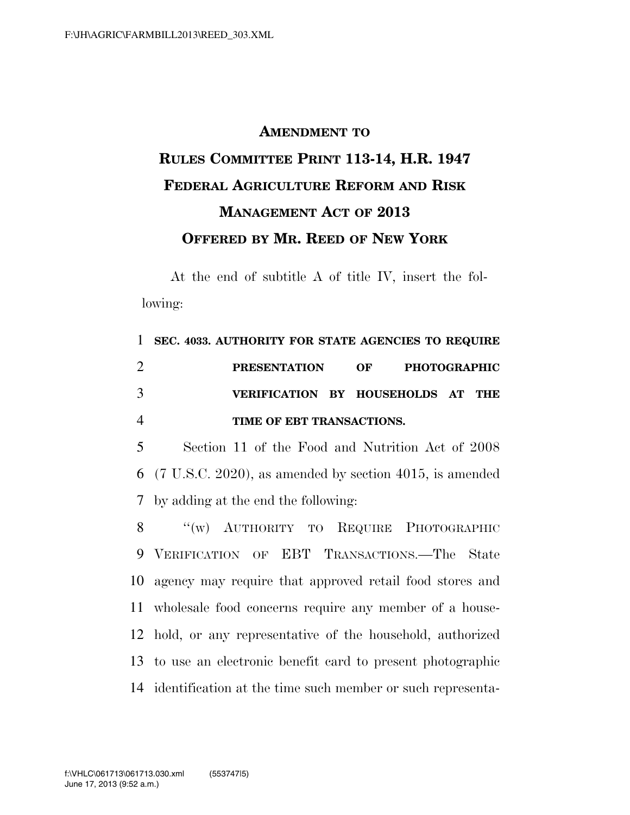## **AMENDMENT TO RULES COMMITTEE PRINT 113-14, H.R. 1947 FEDERAL AGRICULTURE REFORM AND RISK MANAGEMENT ACT OF 2013 OFFERED BY MR. REED OF NEW YORK**

At the end of subtitle A of title IV, insert the following:

|   | 1 SEC. 4033. AUTHORITY FOR STATE AGENCIES TO REQUIRE |  |  |
|---|------------------------------------------------------|--|--|
|   | PRESENTATION OF PHOTOGRAPHIC                         |  |  |
| 3 | VERIFICATION BY HOUSEHOLDS AT THE                    |  |  |
|   | TIME OF EBT TRANSACTIONS.                            |  |  |

5 Section 11 of the Food and Nutrition Act of 2008 6 (7 U.S.C. 2020), as amended by section 4015, is amended 7 by adding at the end the following:

8 "(w) AUTHORITY TO REQUIRE PHOTOGRAPHIC VERIFICATION OF EBT TRANSACTIONS.—The State agency may require that approved retail food stores and wholesale food concerns require any member of a house- hold, or any representative of the household, authorized to use an electronic benefit card to present photographic identification at the time such member or such representa-